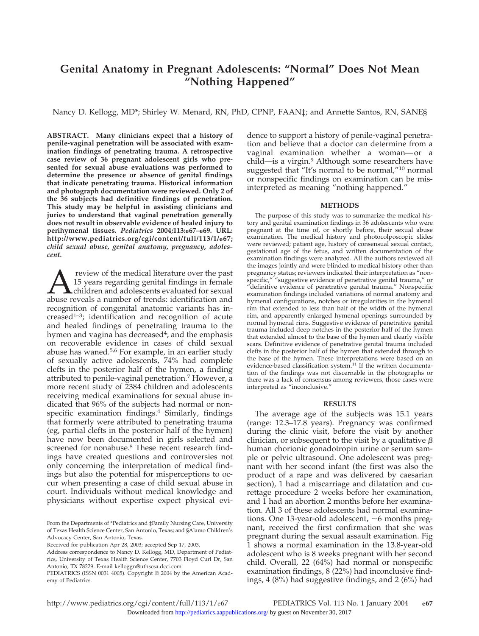# **Genital Anatomy in Pregnant Adolescents: "Normal" Does Not Mean "Nothing Happened"**

Nancy D. Kellogg, MD\*; Shirley W. Menard, RN, PhD, CPNP, FAAN‡; and Annette Santos, RN, SANE§

**ABSTRACT. Many clinicians expect that a history of penile-vaginal penetration will be associated with examination findings of penetrating trauma. A retrospective case review of 36 pregnant adolescent girls who presented for sexual abuse evaluations was performed to determine the presence or absence of genital findings that indicate penetrating trauma. Historical information and photograph documentation were reviewed. Only 2 of the 36 subjects had definitive findings of penetration. This study may be helpful in assisting clinicians and juries to understand that vaginal penetration generally does not result in observable evidence of healed injury to perihymenal tissues.** *Pediatrics* **2004;113:e67–e69. URL: http://www.pediatrics.org/cgi/content/full/113/1/e67;** *child sexual abuse, genital anatomy, pregnancy, adolescent.*

**A** review of the medical literature over the past 15 years regarding genital findings in female children and adolescents evaluated for sexual abuse reveals a number of trends: identification and 15 years regarding genital findings in female **L** children and adolescents evaluated for sexual recognition of congenital anatomic variants has increased<sup>1-3</sup>; identification and recognition of acute and healed findings of penetrating trauma to the hymen and vagina has decreased<sup>4</sup>; and the emphasis on recoverable evidence in cases of child sexual abuse has waned.5,6 For example, in an earlier study of sexually active adolescents, 74% had complete clefts in the posterior half of the hymen, a finding attributed to penile-vaginal penetration.<sup>7</sup> However, a more recent study of 2384 children and adolescents receiving medical examinations for sexual abuse indicated that 96% of the subjects had normal or nonspecific examination findings.<sup>4</sup> Similarly, findings that formerly were attributed to penetrating trauma (eg, partial clefts in the posterior half of the hymen) have now been documented in girls selected and screened for nonabuse.<sup>8</sup> These recent research findings have created questions and controversies not only concerning the interpretation of medical findings but also the potential for misperceptions to occur when presenting a case of child sexual abuse in court. Individuals without medical knowledge and physicians without expertise expect physical evidence to support a history of penile-vaginal penetration and believe that a doctor can determine from a vaginal examination whether a woman—or a child—is a virgin.<sup>9</sup> Although some researchers have suggested that "It's normal to be normal,"<sup>10</sup> normal or nonspecific findings on examination can be misinterpreted as meaning "nothing happened."

#### **METHODS**

The purpose of this study was to summarize the medical history and genital examination findings in 36 adolescents who were pregnant at the time of, or shortly before, their sexual abuse examination. The medical history and photocolposcopic slides were reviewed; patient age, history of consensual sexual contact, gestational age of the fetus, and written documentation of the examination findings were analyzed. All the authors reviewed all the images jointly and were blinded to medical history other than pregnancy status; reviewers indicated their interpretation as "nonspecific," "suggestive evidence of penetrative genital trauma," or "definitive evidence of penetrative genital trauma." Nonspecific examination findings included variations of normal anatomy and hymenal configurations, notches or irregularities in the hymenal rim that extended to less than half of the width of the hymenal rim, and apparently enlarged hymenal openings surrounded by normal hymenal rims. Suggestive evidence of penetrative genital trauma included deep notches in the posterior half of the hymen that extended almost to the base of the hymen and clearly visible scars. Definitive evidence of penetrative genital trauma included clefts in the posterior half of the hymen that extended through to the base of the hymen. These interpretations were based on an evidence-based classification system.<sup>11</sup> If the written documentation of the findings was not discernable in the photographs or there was a lack of consensus among reviewers, those cases were interpreted as "inconclusive."

## **RESULTS**

The average age of the subjects was 15.1 years (range: 12.3–17.8 years). Pregnancy was confirmed during the clinic visit, before the visit by another clinician, or subsequent to the visit by a qualitative  $\beta$ human chorionic gonadotropin urine or serum sample or pelvic ultrasound. One adolescent was pregnant with her second infant (the first was also the product of a rape and was delivered by caesarian section), 1 had a miscarriage and dilatation and curettage procedure 2 weeks before her examination, and 1 had an abortion 2 months before her examination. All 3 of these adolescents had normal examinations. One 13-year-old adolescent,  $\sim$ 6 months pregnant, received the first confirmation that she was pregnant during the sexual assault examination. Fig 1 shows a normal examination in the 13.8-year-old adolescent who is 8 weeks pregnant with her second child. Overall, 22 (64%) had normal or nonspecific examination findings, 8 (22%) had inconclusive findings, 4 (8%) had suggestive findings, and 2 (6%) had

From the Departments of \*Pediatrics and ‡Family Nursing Care, University of Texas Health Science Center, San Antonio, Texas; and §Alamo Children's Advocacy Center, San Antonio, Texas.

Received for publication Apr 28, 2003; accepted Sep 17, 2003.

Address correspondence to Nancy D. Kellogg, MD, Department of Pediatrics, University of Texas Health Science Center, 7703 Floyd Curl Dr, San Antonio, TX 78229. E-mail kelloggn@uthscsa.dcci.com

PEDIATRICS (ISSN 0031 4005). Copyright © 2004 by the American Academy of Pediatrics.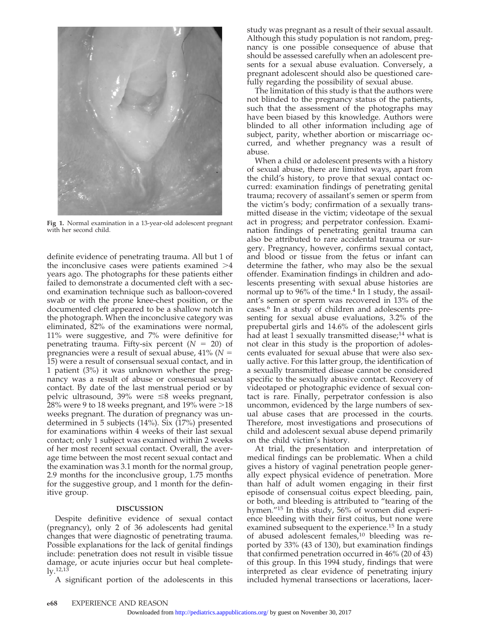

**Fig 1.** Normal examination in a 13-year-old adolescent pregnant with her second child.

definite evidence of penetrating trauma. All but 1 of the inconclusive cases were patients examined  $>4$ years ago. The photographs for these patients either failed to demonstrate a documented cleft with a second examination technique such as balloon-covered swab or with the prone knee-chest position, or the documented cleft appeared to be a shallow notch in the photograph. When the inconclusive category was eliminated, 82% of the examinations were normal, 11% were suggestive, and 7% were definitive for penetrating trauma. Fifty-six percent  $(N = 20)$  of pregnancies were a result of sexual abuse, 41% (*N* 15) were a result of consensual sexual contact, and in 1 patient (3%) it was unknown whether the pregnancy was a result of abuse or consensual sexual contact. By date of the last menstrual period or by pelvic ultrasound, 39% were  $\leq$ 8 weeks pregnant, 28% were 9 to 18 weeks pregnant, and 19% were  $> \! 18$ weeks pregnant. The duration of pregnancy was undetermined in 5 subjects (14%). Six (17%) presented for examinations within 4 weeks of their last sexual contact; only 1 subject was examined within 2 weeks of her most recent sexual contact. Overall, the average time between the most recent sexual contact and the examination was 3.1 month for the normal group, 2.9 months for the inconclusive group, 1.75 months for the suggestive group, and 1 month for the definitive group.

## **DISCUSSION**

Despite definitive evidence of sexual contact (pregnancy), only 2 of 36 adolescents had genital changes that were diagnostic of penetrating trauma. Possible explanations for the lack of genital findings include: penetration does not result in visible tissue damage, or acute injuries occur but heal complete- $\rm 1y.12.13$ 

A significant portion of the adolescents in this

study was pregnant as a result of their sexual assault. Although this study population is not random, pregnancy is one possible consequence of abuse that should be assessed carefully when an adolescent presents for a sexual abuse evaluation. Conversely, a pregnant adolescent should also be questioned carefully regarding the possibility of sexual abuse.

The limitation of this study is that the authors were not blinded to the pregnancy status of the patients, such that the assessment of the photographs may have been biased by this knowledge. Authors were blinded to all other information including age of subject, parity, whether abortion or miscarriage occurred, and whether pregnancy was a result of abuse.

When a child or adolescent presents with a history of sexual abuse, there are limited ways, apart from the child's history, to prove that sexual contact occurred: examination findings of penetrating genital trauma; recovery of assailant's semen or sperm from the victim's body; confirmation of a sexually transmitted disease in the victim; videotape of the sexual act in progress; and perpetrator confession. Examination findings of penetrating genital trauma can also be attributed to rare accidental trauma or surgery. Pregnancy, however, confirms sexual contact, and blood or tissue from the fetus or infant can determine the father, who may also be the sexual offender. Examination findings in children and adolescents presenting with sexual abuse histories are normal up to  $96\%$  of the time.<sup>4</sup> In 1 study, the assailant's semen or sperm was recovered in 13% of the cases.6 In a study of children and adolescents presenting for sexual abuse evaluations, 3.2% of the prepubertal girls and 14.6% of the adolescent girls had at least 1 sexually transmitted disease;<sup>14</sup> what is not clear in this study is the proportion of adolescents evaluated for sexual abuse that were also sexually active. For this latter group, the identification of a sexually transmitted disease cannot be considered specific to the sexually abusive contact. Recovery of videotaped or photographic evidence of sexual contact is rare. Finally, perpetrator confession is also uncommon, evidenced by the large numbers of sexual abuse cases that are processed in the courts. Therefore, most investigations and prosecutions of child and adolescent sexual abuse depend primarily on the child victim's history.

At trial, the presentation and interpretation of medical findings can be problematic. When a child gives a history of vaginal penetration people generally expect physical evidence of penetration. More than half of adult women engaging in their first episode of consensual coitus expect bleeding, pain, or both, and bleeding is attributed to "tearing of the hymen."15 In this study, 56% of women did experience bleeding with their first coitus, but none were examined subsequent to the experience.<sup>15</sup> In a study of abused adolescent females,<sup>10</sup> bleeding was reported by 33% (43 of 130), but examination findings that confirmed penetration occurred in 46% (20 of 43) of this group. In this 1994 study, findings that were interpreted as clear evidence of penetrating injury included hymenal transections or lacerations, lacer-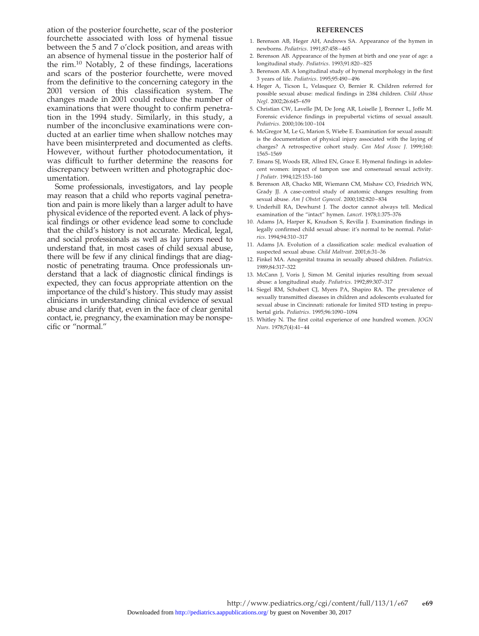ation of the posterior fourchette, scar of the posterior fourchette associated with loss of hymenal tissue between the 5 and 7 o'clock position, and areas with an absence of hymenal tissue in the posterior half of the rim.10 Notably, 2 of these findings, lacerations and scars of the posterior fourchette, were moved from the definitive to the concerning category in the 2001 version of this classification system. The changes made in 2001 could reduce the number of examinations that were thought to confirm penetration in the 1994 study. Similarly, in this study, a number of the inconclusive examinations were conducted at an earlier time when shallow notches may have been misinterpreted and documented as clefts. However, without further photodocumentation, it was difficult to further determine the reasons for discrepancy between written and photographic documentation.

Some professionals, investigators, and lay people may reason that a child who reports vaginal penetration and pain is more likely than a larger adult to have physical evidence of the reported event. A lack of physical findings or other evidence lead some to conclude that the child's history is not accurate. Medical, legal, and social professionals as well as lay jurors need to understand that, in most cases of child sexual abuse, there will be few if any clinical findings that are diagnostic of penetrating trauma. Once professionals understand that a lack of diagnostic clinical findings is expected, they can focus appropriate attention on the importance of the child's history. This study may assist clinicians in understanding clinical evidence of sexual abuse and clarify that, even in the face of clear genital contact, ie, pregnancy, the examination may be nonspecific or "normal."

## **REFERENCES**

- 1. Berenson AB, Heger AH, Andrews SA. Appearance of the hymen in newborns. *Pediatrics*. 1991;87:458–465
- 2. Berenson AB. Appearance of the hymen at birth and one year of age: a longitudinal study. *Pediatrics*. 1993;91:820–825
- 3. Berenson AB. A longitudinal study of hymenal morphology in the first 3 years of life. *Pediatrics*. 1995;95:490–496
- 4. Heger A, Ticson L, Velasquez O, Bernier R. Children referred for possible sexual abuse: medical findings in 2384 children. *Child Abuse Negl*. 2002;26:645–659
- 5. Christian CW, Lavelle JM, De Jong AR, Loiselle J, Brenner L, Joffe M. Forensic evidence findings in prepubertal victims of sexual assault. *Pediatrics*. 2000;106:100–104
- 6. McGregor M, Le G, Marion S, Wiebe E. Examination for sexual assault: is the documentation of physical injury associated with the laying of charges? A retrospective cohort study. *Can Med Assoc J*. 1999;160: 1565–1569
- 7. Emans SJ, Woods ER, Allred EN, Grace E. Hymenal findings in adolescent women: impact of tampon use and consensual sexual activity. *J Pediatr*. 1994;125:153–160
- 8. Berenson AB, Chacko MR, Wiemann CM, Mishaw CO, Friedrich WN, Grady JJ. A case-control study of anatomic changes resulting from sexual abuse. *Am J Obstet Gynecol*. 2000;182:820–834
- 9. Underhill RA, Dewhurst J. The doctor cannot always tell. Medical examination of the "intact" hymen. *Lancet*. 1978;1:375–376
- 10. Adams JA, Harper K, Knudson S, Revilla J. Examination findings in legally confirmed child sexual abuse: it's normal to be normal. *Pediatrics*. 1994;94:310–317
- 11. Adams JA. Evolution of a classification scale: medical evaluation of suspected sexual abuse. *Child Maltreat*. 2001;6:31–36
- 12. Finkel MA. Anogenital trauma in sexually abused children. *Pediatrics*. 1989;84:317–322
- 13. McCann J, Voris J, Simon M. Genital injuries resulting from sexual abuse: a longitudinal study. *Pediatrics*. 1992;89:307–317
- 14. Siegel RM, Schubert CJ, Myers PA, Shapiro RA. The prevalence of sexually transmitted diseases in children and adolescents evaluated for sexual abuse in Cincinnati: rationale for limited STD testing in prepubertal girls. *Pediatrics*. 1995;96:1090–1094
- 15. Whitley N. The first coital experience of one hundred women. *JOGN Nurs*. 1978;7(4):41–44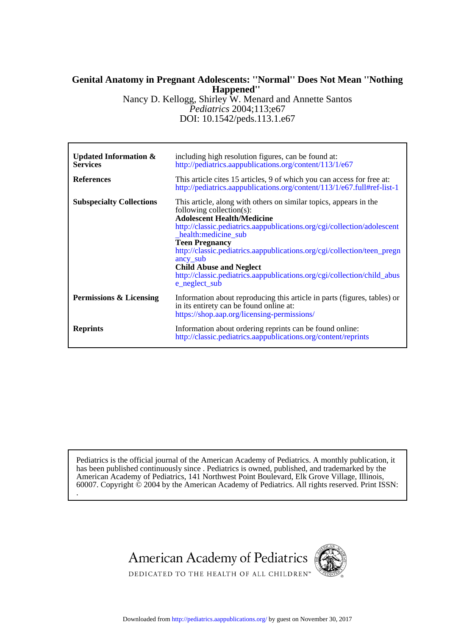# **Happened'' Genital Anatomy in Pregnant Adolescents: ''Normal'' Does Not Mean ''Nothing**

DOI: 10.1542/peds.113.1.e67 *Pediatrics* 2004;113;e67 Nancy D. Kellogg, Shirley W. Menard and Annette Santos

| Updated Information $\&$<br><b>Services</b> | including high resolution figures, can be found at:<br>http://pediatrics.aappublications.org/content/113/1/e67                                                                                                                                                                                                                                                                                                                                                                      |
|---------------------------------------------|-------------------------------------------------------------------------------------------------------------------------------------------------------------------------------------------------------------------------------------------------------------------------------------------------------------------------------------------------------------------------------------------------------------------------------------------------------------------------------------|
| <b>References</b>                           | This article cites 15 articles, 9 of which you can access for free at:<br>http://pediatrics.aappublications.org/content/113/1/e67.full#ref-list-1                                                                                                                                                                                                                                                                                                                                   |
| <b>Subspecialty Collections</b>             | This article, along with others on similar topics, appears in the<br>following collection(s):<br><b>Adolescent Health/Medicine</b><br>http://classic.pediatrics.aappublications.org/cgi/collection/adolescent<br>health: medicine sub<br><b>Teen Pregnancy</b><br>http://classic.pediatrics.aappublications.org/cgi/collection/teen_pregn<br>ancy sub<br><b>Child Abuse and Neglect</b><br>http://classic.pediatrics.aappublications.org/cgi/collection/child_abus<br>e_neglect_sub |
| Permissions & Licensing                     | Information about reproducing this article in parts (figures, tables) or<br>in its entirety can be found online at:<br>https://shop.aap.org/licensing-permissions/                                                                                                                                                                                                                                                                                                                  |
| <b>Reprints</b>                             | Information about ordering reprints can be found online:<br>http://classic.pediatrics.aappublications.org/content/reprints                                                                                                                                                                                                                                                                                                                                                          |

. 60007. Copyright © 2004 by the American Academy of Pediatrics. All rights reserved. Print ISSN: American Academy of Pediatrics, 141 Northwest Point Boulevard, Elk Grove Village, Illinois, has been published continuously since . Pediatrics is owned, published, and trademarked by the Pediatrics is the official journal of the American Academy of Pediatrics. A monthly publication, it